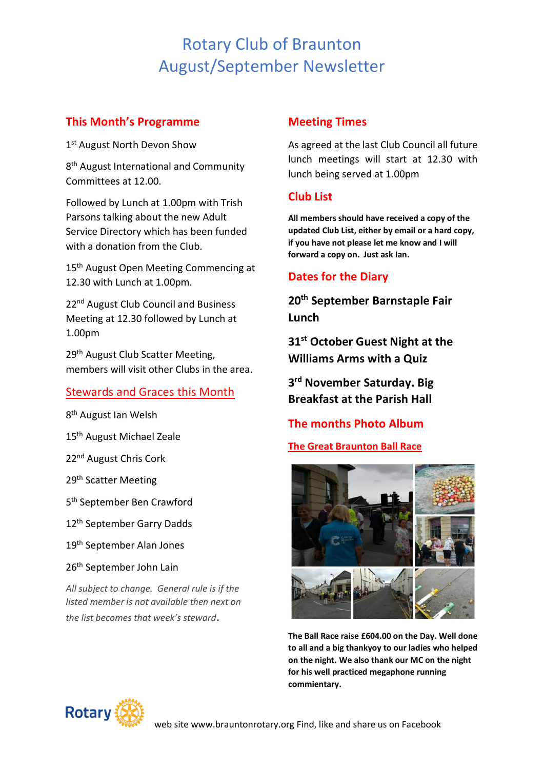# Rotary Club of Braunton August/September Newsletter

# **This Month's Programme**

1st August North Devon Show

8<sup>th</sup> August International and Community Committees at 12.00.

Followed by Lunch at 1.00pm with Trish Parsons talking about the new Adult Service Directory which has been funded with a donation from the Club.

15<sup>th</sup> August Open Meeting Commencing at 12.30 with Lunch at 1.00pm.

22<sup>nd</sup> August Club Council and Business Meeting at 12.30 followed by Lunch at 1.00pm

29<sup>th</sup> August Club Scatter Meeting, members will visit other Clubs in the area.

# Stewards and Graces this Month

8<sup>th</sup> August Ian Welsh

15<sup>th</sup> August Michael Zeale

22nd August Chris Cork

29th Scatter Meeting

5 th September Ben Crawford

12<sup>th</sup> September Garry Dadds

19th September Alan Jones

26<sup>th</sup> September John Lain

*All subject to change. General rule is if the listed member is not available then next on the list becomes that week's steward*.

### **Meeting Times**

As agreed at the last Club Council all future lunch meetings will start at 12.30 with lunch being served at 1.00pm

# **Club List**

**All members should have received a copy of the updated Club List, either by email or a hard copy, if you have not please let me know and I will forward a copy on. Just ask Ian.**

# **Dates for the Diary**

**20th September Barnstaple Fair Lunch**

**31 st October Guest Night at the Williams Arms with a Quiz**

**3 rd November Saturday. Big Breakfast at the Parish Hall**

# **The months Photo Album**

**The Great Braunton Ball Race**



**The Ball Race raise £604.00 on the Day. Well done to all and a big thankyoy to our ladies who helped on the night. We also thank our MC on the night for his well practiced megaphone running commientary.**